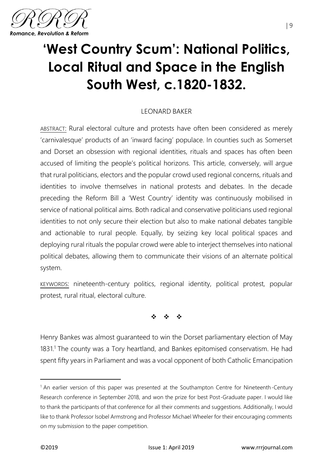

## **'West Country Scum': National Politics, Local Ritual and Space in the English South West, c.1820-1832.**

## LEONARD BAKER

ABSTRACT: Rural electoral culture and protests have often been considered as merely 'carnivalesque' products of an 'inward facing' populace. In counties such as Somerset and Dorset an obsession with regional identities, rituals and spaces has often been accused of limiting the people's political horizons. This article, conversely, will argue that rural politicians, electors and the popular crowd used regional concerns, rituals and identities to involve themselves in national protests and debates. In the decade preceding the Reform Bill a 'West Country' identity was continuously mobilised in service of national political aims. Both radical and conservative politicians used regional identities to not only secure their election but also to make national debates tangible and actionable to rural people. Equally, by seizing key local political spaces and deploying rural rituals the popular crowd were able to interject themselves into national political debates, allowing them to communicate their visions of an alternate political system.

KEYWORDS: nineteenth-century politics, regional identity, political protest, popular protest, rural ritual, electoral culture.

❖ ❖ ❖

Henry Bankes was almost guaranteed to win the Dorset parliamentary election of May 1831.<sup>1</sup> The county was a Tory heartland, and Bankes epitomised conservatism. He had spent fifty years in Parliament and was a vocal opponent of both Catholic Emancipation

<sup>&</sup>lt;sup>1</sup> An earlier version of this paper was presented at the Southampton Centre for Nineteenth-Century Research conference in September 2018, and won the prize for best Post-Graduate paper. I would like to thank the participants of that conference for all their comments and suggestions. Additionally, I would like to thank Professor Isobel Armstrong and Professor Michael Wheeler for their encouraging comments on my submission to the paper competition.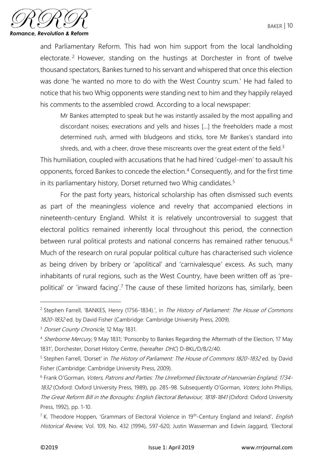

and Parliamentary Reform. This had won him support from the local landholding electorate. <sup>2</sup> However, standing on the hustings at Dorchester in front of twelve thousand spectators, Bankes turned to his servant and whispered that once this election was done 'he wanted no more to do with the West Country scum.' He had failed to notice that his two Whig opponents were standing next to him and they happily relayed his comments to the assembled crowd. According to a local newspaper:

Mr Bankes attempted to speak but he was instantly assailed by the most appalling and discordant noises; execrations and yells and hisses […] the freeholders made a most determined rush, armed with bludgeons and sticks, tore Mr Bankes's standard into shreds, and, with a cheer, drove these miscreants over the great extent of the field.<sup>3</sup>

This humiliation, coupled with accusations that he had hired 'cudgel-men' to assault his opponents, forced Bankes to concede the election.<sup>4</sup> Consequently, and for the first time in its parliamentary history, Dorset returned two Whig candidates.<sup>5</sup>

For the past forty years, historical scholarship has often dismissed such events as part of the meaningless violence and revelry that accompanied elections in nineteenth-century England. Whilst it is relatively uncontroversial to suggest that electoral politics remained inherently local throughout this period, the connection between rural political protests and national concerns has remained rather tenuous.<sup>6</sup> Much of the research on rural popular political culture has characterised such violence as being driven by bribery or 'apolitical' and 'carnivalesque' excess. As such, many inhabitants of rural regions, such as the West Country, have been written off as 'prepolitical' or 'inward facing'.<sup>7</sup> The cause of these limited horizons has, similarly, been

<sup>&</sup>lt;sup>2</sup> Stephen Farrell, 'BANKES, Henry (1756-1834).', in The History of Parliament: The House of Commons 1820-1832 ed. by David Fisher (Cambridge: Cambridge University Press, 2009).

<sup>&</sup>lt;sup>3</sup> Dorset County Chronicle, 12 May 1831.

<sup>&</sup>lt;sup>4</sup> Sherborne Mercury, 9 May 1831; 'Ponsonby to Bankes Regarding the Aftermath of the Election, 17 May 1831', Dorchester, Dorset History Centre, (hereafter DHC) D-BKL/D/B/2/40.

<sup>&</sup>lt;sup>5</sup> Stephen Farrell, 'Dorset' in The History of Parliament: The House of Commons 1820-1832 ed. by David Fisher (Cambridge: Cambridge University Press, 2009).

<sup>6</sup> Frank O'Gorman, Voters, Patrons and Parties: The Unreformed Electorate of Hanoverian England, 1734- 1832 (Oxford: Oxford University Press, 1989), pp. 285-98. Subsequently O'Gorman, Voters, John Phillips, The Great Reform Bill in the Boroughs: English Electoral Behaviour, 1818-1841 (Oxford: Oxford University Press, 1992), pp. 1-10.

<sup>&</sup>lt;sup>7</sup> K. Theodore Hoppen, 'Grammars of Electoral Violence in 19<sup>th</sup>-Century England and Ireland', *English* Historical Review, Vol. 109, No. 432 (1994), 597-620; Justin Wasserman and Edwin Jaggard, 'Electoral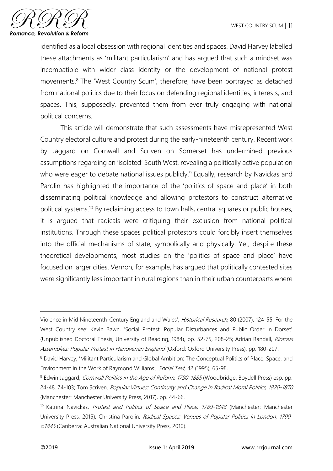

identified as a local obsession with regional identities and spaces. David Harvey labelled these attachments as 'militant particularism' and has argued that such a mindset was incompatible with wider class identity or the development of national protest movements.<sup>8</sup> The 'West Country Scum', therefore, have been portrayed as detached from national politics due to their focus on defending regional identities, interests, and spaces. This, supposedly, prevented them from ever truly engaging with national political concerns.

This article will demonstrate that such assessments have misrepresented West Country electoral culture and protest during the early-nineteenth century. Recent work by Jaggard on Cornwall and Scriven on Somerset has undermined previous assumptions regarding an 'isolated' South West, revealing a politically active population who were eager to debate national issues publicly.<sup>9</sup> Equally, research by Navickas and Parolin has highlighted the importance of the 'politics of space and place' in both disseminating political knowledge and allowing protestors to construct alternative political systems.<sup>10</sup> By reclaiming access to town halls, central squares or public houses, it is argued that radicals were critiquing their exclusion from national political institutions. Through these spaces political protestors could forcibly insert themselves into the official mechanisms of state, symbolically and physically. Yet, despite these theoretical developments, most studies on the 'politics of space and place' have focused on larger cities. Vernon, for example, has argued that politically contested sites were significantly less important in rural regions than in their urban counterparts where

Violence in Mid Nineteenth-Century England and Wales', Historical Research, 80 (2007), 124-55. For the West Country see: Kevin Bawn, 'Social Protest, Popular Disturbances and Public Order in Dorset' (Unpublished Doctoral Thesis, University of Reading, 1984), pp. 52-75, 208-25; Adrian Randall, Riotous Assemblies: Popular Protest in Hanoverian England (Oxford: Oxford University Press), pp. 180-207.

<sup>8</sup> David Harvey, 'Militant Particularism and Global Ambition: The Conceptual Politics of Place, Space, and Environment in the Work of Raymond Williams', Social Text, 42 (1995), 65-98.

<sup>&</sup>lt;sup>9</sup> Edwin Jaggard, *Cornwall Politics in the Age of Reform, 1790-1885* (Woodbridge: Boydell Press) esp. pp. 24-48, 74-103; Tom Scriven, Popular Virtues: Continuity and Change in Radical Moral Politics, 1820-1870 (Manchester: Manchester University Press, 2017), pp. 44-66.

<sup>&</sup>lt;sup>10</sup> Katrina Navickas, Protest and Politics of Space and Place, 1789-1848 (Manchester: Manchester University Press, 2015); Christina Parolin, Radical Spaces: Venues of Popular Politics in London, 1790 c.1845 (Canberra: Australian National University Press, 2010).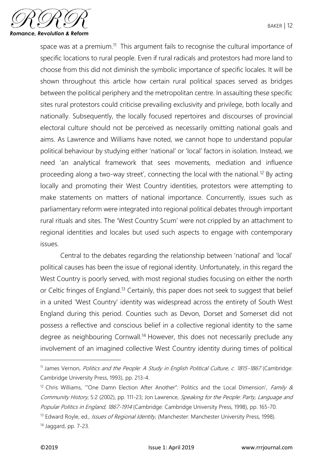

space was at a premium.<sup>11</sup> This argument fails to recognise the cultural importance of specific locations to rural people. Even if rural radicals and protestors had more land to choose from this did not diminish the symbolic importance of specific locales. It will be shown throughout this article how certain rural political spaces served as bridges between the political periphery and the metropolitan centre. In assaulting these specific sites rural protestors could criticise prevailing exclusivity and privilege, both locally and nationally. Subsequently, the locally focused repertoires and discourses of provincial electoral culture should not be perceived as necessarily omitting national goals and aims. As Lawrence and Williams have noted, we cannot hope to understand popular political behaviour by studying either 'national' or 'local' factors in isolation. Instead, we need 'an analytical framework that sees movements, mediation and influence proceeding along a two-way street', connecting the local with the national.<sup>12</sup> By acting locally and promoting their West Country identities, protestors were attempting to make statements on matters of national importance. Concurrently, issues such as parliamentary reform were integrated into regional political debates through important rural rituals and sites. The 'West Country Scum' were not crippled by an attachment to regional identities and locales but used such aspects to engage with contemporary issues.

Central to the debates regarding the relationship between 'national' and 'local' political causes has been the issue of regional identity. Unfortunately, in this regard the West Country is poorly served, with most regional studies focusing on either the north or Celtic fringes of England.<sup>13</sup> Certainly, this paper does not seek to suggest that belief in a united 'West Country' identity was widespread across the entirety of South West England during this period. Counties such as Devon, Dorset and Somerset did not possess a reflective and conscious belief in a collective regional identity to the same degree as neighbouring Cornwall.<sup>14</sup> However, this does not necessarily preclude any involvement of an imagined collective West Country identity during times of political

<sup>&</sup>lt;sup>11</sup> James Vernon, Politics and the People: A Study in English Political Culture, c. 1815-1867 (Cambridge: Cambridge University Press, 1993), pp. 213-4.

<sup>&</sup>lt;sup>12</sup> Chris Williams, "One Damn Election After Another": Politics and the Local Dimension', Family & Community History, 5:2 (2002), pp. 111-23; Jon Lawrence, Speaking for the People: Party, Language and Popular Politics in England, 1867-1914 (Cambridge: Cambridge University Press, 1998), pp. 165-70.

<sup>&</sup>lt;sup>13</sup> Edward Royle, ed., *Issues of Regional Identity*, (Manchester: Manchester University Press, 1998).

<sup>14</sup> Jaggard, pp. 7-23.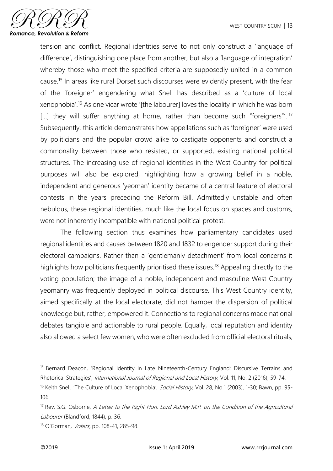

tension and conflict. Regional identities serve to not only construct a 'language of difference', distinguishing one place from another, but also a 'language of integration' whereby those who meet the specified criteria are supposedly united in a common cause.<sup>15</sup> In areas like rural Dorset such discourses were evidently present, with the fear of the 'foreigner' engendering what Snell has described as a 'culture of local xenophobia'.<sup>16</sup> As one vicar wrote '[the labourer] loves the locality in which he was born [...] they will suffer anything at home, rather than become such "foreigners"'.<sup>17</sup> Subsequently, this article demonstrates how appellations such as 'foreigner' were used by politicians and the popular crowd alike to castigate opponents and construct a commonality between those who resisted, or supported, existing national political structures. The increasing use of regional identities in the West Country for political purposes will also be explored, highlighting how a growing belief in a noble, independent and generous 'yeoman' identity became of a central feature of electoral contests in the years preceding the Reform Bill. Admittedly unstable and often nebulous, these regional identities, much like the local focus on spaces and customs, were not inherently incompatible with national political protest.

The following section thus examines how parliamentary candidates used regional identities and causes between 1820 and 1832 to engender support during their electoral campaigns. Rather than a 'gentlemanly detachment' from local concerns it highlights how politicians frequently prioritised these issues.<sup>18</sup> Appealing directly to the voting population; the image of a noble, independent and masculine West Country yeomanry was frequently deployed in political discourse. This West Country identity, aimed specifically at the local electorate, did not hamper the dispersion of political knowledge but, rather, empowered it. Connections to regional concerns made national debates tangible and actionable to rural people. Equally, local reputation and identity also allowed a select few women, who were often excluded from official electoral rituals,

<sup>&</sup>lt;sup>15</sup> Bernard Deacon, 'Regional Identity in Late Nineteenth-Century England: Discursive Terrains and Rhetorical Strategies', International Journal of Regional and Local History, Vol. 11, No. 2 (2016), 59-74.

<sup>&</sup>lt;sup>16</sup> Keith Snell, 'The Culture of Local Xenophobia', Social History, Vol. 28, No.1 (2003), 1-30; Bawn, pp. 95-106.

<sup>&</sup>lt;sup>17</sup> Rev. S.G. Osborne, A Letter to the Right Hon. Lord Ashley M.P. on the Condition of the Agricultural Labourer (Blandford, 1844), p. 36.

<sup>18</sup> O'Gorman, Voters, pp. 108-41, 285-98.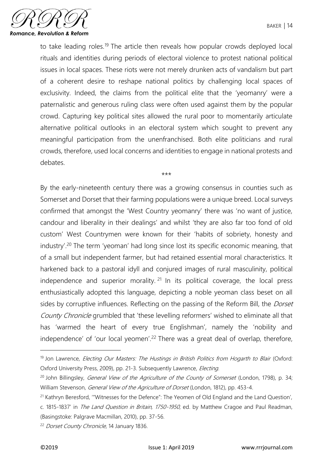to take leading roles.<sup>19</sup> The article then reveals how popular crowds deployed local rituals and identities during periods of electoral violence to protest national political issues in local spaces. These riots were not merely drunken acts of vandalism but part of a coherent desire to reshape national politics by challenging local spaces of exclusivity. Indeed, the claims from the political elite that the 'yeomanry' were a paternalistic and generous ruling class were often used against them by the popular crowd. Capturing key political sites allowed the rural poor to momentarily articulate alternative political outlooks in an electoral system which sought to prevent any meaningful participation from the unenfranchised. Both elite politicians and rural crowds, therefore, used local concerns and identities to engage in national protests and debates.

\*\*\*

By the early-nineteenth century there was a growing consensus in counties such as Somerset and Dorset that their farming populations were a unique breed. Local surveys confirmed that amongst the 'West Country yeomanry' there was 'no want of justice, candour and liberality in their dealings' and whilst 'they are also far too fond of old custom' West Countrymen were known for their 'habits of sobriety, honesty and industry'.<sup>20</sup> The term 'yeoman' had long since lost its specific economic meaning, that of a small but independent farmer, but had retained essential moral characteristics. It harkened back to a pastoral idyll and conjured images of rural masculinity, political independence and superior morality.  $21 \text{ In}$  its political coverage, the local press enthusiastically adopted this language, depicting a noble yeoman class beset on all sides by corruptive influences. Reflecting on the passing of the Reform Bill, the *Dorset* County Chronicle grumbled that 'these levelling reformers' wished to eliminate all that has 'warmed the heart of every true Englishman', namely the 'nobility and independence' of 'our local yeomen'.<sup>22</sup> There was a great deal of overlap, therefore,

<sup>&</sup>lt;sup>19</sup> Jon Lawrence, *Electing Our Masters: The Hustings in British Politics from Hogarth to Blair (Oxford:* Oxford University Press, 2009), pp. 21-3. Subsequently Lawrence, Electing.

 $20$  John Billingsley, *General View of the Agriculture of the County of Somerset* (London, 1798), p. 34; William Stevenson, *General View of the Agriculture of Dorset* (London, 1812), pp. 453-4.

<sup>&</sup>lt;sup>21</sup> Kathryn Beresford, "Witnesses for the Defence": The Yeomen of Old England and the Land Question', c. 1815-1837' in The Land Question in Britain, 1750-1950, ed. by Matthew Cragoe and Paul Readman,

<sup>(</sup>Basingstoke: Palgrave Macmillan, 2010), pp. 37-56.

<sup>&</sup>lt;sup>22</sup> Dorset County Chronicle, 14 January 1836.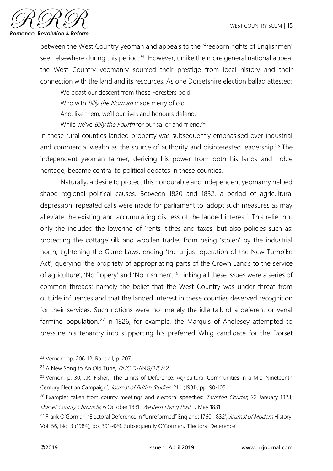

between the West Country yeoman and appeals to the 'freeborn rights of Englishmen' seen elsewhere during this period.<sup>23</sup> However, unlike the more general national appeal the West Country yeomanry sourced their prestige from local history and their connection with the land and its resources. As one Dorsetshire election ballad attested:

We boast our descent from those Foresters bold,

Who with *Billy the Norman* made merry of old;

And, like them, we'll our lives and honours defend,

While we've *Billy the Fourth* for our sailor and friend.<sup>24</sup>

In these rural counties landed property was subsequently emphasised over industrial and commercial wealth as the source of authority and disinterested leadership.<sup>25</sup> The independent yeoman farmer, deriving his power from both his lands and noble heritage, became central to political debates in these counties.

Naturally, a desire to protect this honourable and independent yeomanry helped shape regional political causes. Between 1820 and 1832, a period of agricultural depression, repeated calls were made for parliament to 'adopt such measures as may alleviate the existing and accumulating distress of the landed interest'. This relief not only the included the lowering of 'rents, tithes and taxes' but also policies such as: protecting the cottage silk and woollen trades from being 'stolen' by the industrial north, tightening the Game Laws, ending 'the unjust operation of the New Turnpike Act', querying 'the propriety of appropriating parts of the Crown Lands to the service of agriculture', 'No Popery' and 'No Irishmen'.<sup>26</sup> Linking all these issues were a series of common threads; namely the belief that the West Country was under threat from outside influences and that the landed interest in these counties deserved recognition for their services. Such notions were not merely the idle talk of a deferent or venal farming population.<sup>27</sup> In 1826, for example, the Marquis of Anglesey attempted to pressure his tenantry into supporting his preferred Whig candidate for the Dorset

<sup>23</sup> Vernon, pp. 206-12; Randall, p. 207.

<sup>&</sup>lt;sup>24</sup> A New Song to An Old Tune, *DHC*, D-ANG/B/5/42.

<sup>25</sup> Vernon, p. 30; J.R. Fisher, 'The Limits of Deference: Agricultural Communities in a Mid-Nineteenth Century Election Campaign', Journal of British Studies, 21:1 (1981), pp. 90-105.

 $26$  Examples taken from county meetings and electoral speeches: *Taunton Courier*, 22 January 1823; Dorset County Chronicle, 6 October 1831; Western Flying Post, 9 May 1831.

<sup>&</sup>lt;sup>27</sup> Frank O'Gorman, 'Electoral Deference in "Unreformed" England: 1760-1832', Journal of Modern History, Vol. 56, No. 3 (1984), pp. 391-429. Subsequently O'Gorman, 'Electoral Deference'.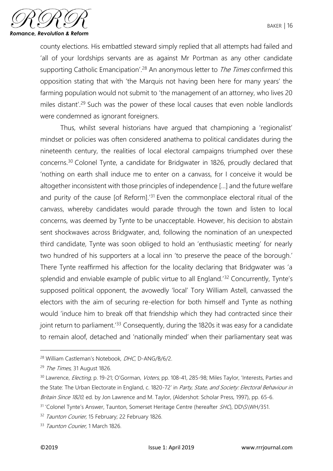

county elections. His embattled steward simply replied that all attempts had failed and 'all of your lordships servants are as against Mr Portman as any other candidate supporting Catholic Emancipation'.<sup>28</sup> An anonymous letter to *The Times* confirmed this opposition stating that with 'the Marquis not having been here for many years' the farming population would not submit to 'the management of an attorney, who lives 20 miles distant'.<sup>29</sup> Such was the power of these local causes that even noble landlords were condemned as ignorant foreigners.

Thus, whilst several historians have argued that championing a 'regionalist' mindset or policies was often considered anathema to political candidates during the nineteenth century, the realities of local electoral campaigns triumphed over these concerns.<sup>30</sup> Colonel Tynte, a candidate for Bridgwater in 1826, proudly declared that 'nothing on earth shall induce me to enter on a canvass, for I conceive it would be altogether inconsistent with those principles of independence […] and the future welfare and purity of the cause [of Reform].'<sup>31</sup> Even the commonplace electoral ritual of the canvass, whereby candidates would parade through the town and listen to local concerns, was deemed by Tynte to be unacceptable. However, his decision to abstain sent shockwaves across Bridgwater, and, following the nomination of an unexpected third candidate, Tynte was soon obliged to hold an 'enthusiastic meeting' for nearly two hundred of his supporters at a local inn 'to preserve the peace of the borough.' There Tynte reaffirmed his affection for the locality declaring that Bridgwater was 'a splendid and enviable example of public virtue to all England.<sup>'32</sup> Concurrently, Tynte's supposed political opponent, the avowedly 'local' Tory William Astell, canvassed the electors with the aim of securing re-election for both himself and Tynte as nothing would 'induce him to break off that friendship which they had contracted since their joint return to parliament.<sup>'33</sup> Consequently, during the 1820s it was easy for a candidate to remain aloof, detached and 'nationally minded' when their parliamentary seat was

<sup>&</sup>lt;sup>28</sup> William Castleman's Notebook, DHC, D-ANG/B/6/2.

<sup>&</sup>lt;sup>29</sup> The Times, 31 August 1826.

<sup>&</sup>lt;sup>30</sup> Lawrence, *Electing*, p. 19-21; O'Gorman, Voters, pp. 108-41, 285-98; Miles Taylor, 'Interests, Parties and the State: The Urban Electorate in England, c. 1820-72' in Party, State, and Society: Electoral Behaviour in Britain Since 1820, ed. by Jon Lawrence and M. Taylor, (Aldershot: Scholar Press, 1997), pp. 65-6.

<sup>&</sup>lt;sup>31</sup> 'Colonel Tynte's Answer, Taunton, Somerset Heritage Centre (hereafter SHC), DD\S\WH/351.

<sup>&</sup>lt;sup>32</sup> Taunton Courier, 15 February; 22 February 1826.

<sup>&</sup>lt;sup>33</sup> Taunton Courier, 1 March 1826.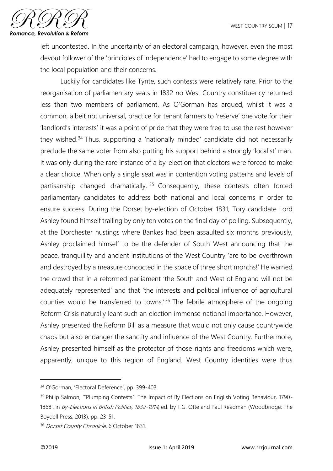

left uncontested. In the uncertainty of an electoral campaign, however, even the most devout follower of the 'principles of independence' had to engage to some degree with the local population and their concerns.

Luckily for candidates like Tynte, such contests were relatively rare. Prior to the reorganisation of parliamentary seats in 1832 no West Country constituency returned less than two members of parliament. As O'Gorman has argued, whilst it was a common, albeit not universal, practice for tenant farmers to 'reserve' one vote for their 'landlord's interests' it was a point of pride that they were free to use the rest however they wished.<sup>34</sup> Thus, supporting a 'nationally minded' candidate did not necessarily preclude the same voter from also putting his support behind a strongly 'localist' man. It was only during the rare instance of a by-election that electors were forced to make a clear choice. When only a single seat was in contention voting patterns and levels of partisanship changed dramatically.<sup>35</sup> Consequently, these contests often forced parliamentary candidates to address both national and local concerns in order to ensure success. During the Dorset by-election of October 1831, Tory candidate Lord Ashley found himself trailing by only ten votes on the final day of polling. Subsequently, at the Dorchester hustings where Bankes had been assaulted six months previously, Ashley proclaimed himself to be the defender of South West announcing that the peace, tranquillity and ancient institutions of the West Country 'are to be overthrown and destroyed by a measure concocted in the space of three short months!' He warned the crowd that in a reformed parliament 'the South and West of England will not be adequately represented' and that 'the interests and political influence of agricultural counties would be transferred to towns.<sup>'36</sup> The febrile atmosphere of the ongoing Reform Crisis naturally leant such an election immense national importance. However, Ashley presented the Reform Bill as a measure that would not only cause countrywide chaos but also endanger the sanctity and influence of the West Country. Furthermore, Ashley presented himself as the protector of those rights and freedoms which were, apparently, unique to this region of England. West Country identities were thus

<sup>34</sup> O'Gorman, 'Electoral Deference', pp. 399-403.

<sup>&</sup>lt;sup>35</sup> Philip Salmon, "Plumping Contests": The Impact of By Elections on English Voting Behaviour, 1790-1868', in By-Elections in British Politics, 1832-1914, ed. by T.G. Otte and Paul Readman (Woodbridge: The Boydell Press, 2013), pp. 23-51.

<sup>&</sup>lt;sup>36</sup> Dorset County Chronicle, 6 October 1831.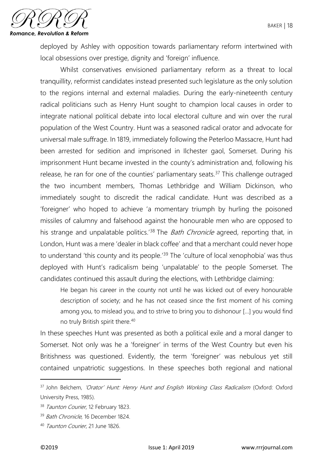

deployed by Ashley with opposition towards parliamentary reform intertwined with local obsessions over prestige, dignity and 'foreign' influence.

Whilst conservatives envisioned parliamentary reform as a threat to local tranquillity, reformist candidates instead presented such legislature as the only solution to the regions internal and external maladies. During the early-nineteenth century radical politicians such as Henry Hunt sought to champion local causes in order to integrate national political debate into local electoral culture and win over the rural population of the West Country. Hunt was a seasoned radical orator and advocate for universal male suffrage. In 1819, immediately following the Peterloo Massacre, Hunt had been arrested for sedition and imprisoned in Ilchester gaol, Somerset. During his imprisonment Hunt became invested in the county's administration and, following his release, he ran for one of the counties' parliamentary seats.<sup>37</sup> This challenge outraged the two incumbent members, Thomas Lethbridge and William Dickinson, who immediately sought to discredit the radical candidate. Hunt was described as a 'foreigner' who hoped to achieve 'a momentary triumph by hurling the poisoned missiles of calumny and falsehood against the honourable men who are opposed to his strange and unpalatable politics.<sup>'38</sup> The *Bath Chronicle* agreed, reporting that, in London, Hunt was a mere 'dealer in black coffee' and that a merchant could never hope to understand 'this county and its people.<sup>'39</sup> The 'culture of local xenophobia' was thus deployed with Hunt's radicalism being 'unpalatable' to the people Somerset. The candidates continued this assault during the elections, with Lethbridge claiming:

He began his career in the county not until he was kicked out of every honourable description of society; and he has not ceased since the first moment of his coming among you, to mislead you, and to strive to bring you to dishonour […] you would find no truly British spirit there.<sup>40</sup>

In these speeches Hunt was presented as both a political exile and a moral danger to Somerset. Not only was he a 'foreigner' in terms of the West Country but even his Britishness was questioned. Evidently, the term 'foreigner' was nebulous yet still contained unpatriotic suggestions. In these speeches both regional and national

<sup>&</sup>lt;sup>37</sup> John Belchem, 'Orator' Hunt: Henry Hunt and English Working Class Radicalism (Oxford: Oxford University Press, 1985).

<sup>38</sup> Taunton Courier, 12 February 1823.

<sup>&</sup>lt;sup>39</sup> Bath Chronicle, 16 December 1824.

<sup>40</sup> Taunton Courier, 21 June 1826.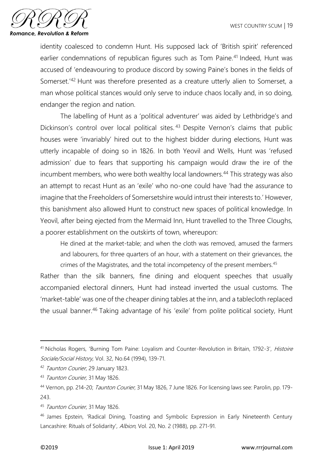

identity coalesced to condemn Hunt. His supposed lack of 'British spirit' referenced earlier condemnations of republican figures such as Tom Paine.<sup>41</sup> Indeed, Hunt was accused of 'endeavouring to produce discord by sowing Paine's bones in the fields of Somerset.'<sup>42</sup> Hunt was therefore presented as a creature utterly alien to Somerset, a man whose political stances would only serve to induce chaos locally and, in so doing, endanger the region and nation.

The labelling of Hunt as a 'political adventurer' was aided by Lethbridge's and Dickinson's control over local political sites.<sup>43</sup> Despite Vernon's claims that public houses were 'invariably' hired out to the highest bidder during elections, Hunt was utterly incapable of doing so in 1826. In both Yeovil and Wells, Hunt was 'refused admission' due to fears that supporting his campaign would draw the ire of the incumbent members, who were both wealthy local landowners.<sup>44</sup> This strategy was also an attempt to recast Hunt as an 'exile' who no-one could have 'had the assurance to imagine that the Freeholders of Somersetshire would intrust their interests to.' However, this banishment also allowed Hunt to construct new spaces of political knowledge. In Yeovil, after being ejected from the Mermaid Inn, Hunt travelled to the Three Cloughs, a poorer establishment on the outskirts of town, whereupon:

He dined at the market-table; and when the cloth was removed, amused the farmers and labourers, for three quarters of an hour, with a statement on their grievances, the crimes of the Magistrates, and the total incompetency of the present members.<sup>45</sup>

Rather than the silk banners, fine dining and eloquent speeches that usually accompanied electoral dinners, Hunt had instead inverted the usual customs. The 'market-table' was one of the cheaper dining tables at the inn, and a tablecloth replaced the usual banner.<sup>46</sup> Taking advantage of his 'exile' from polite political society, Hunt

 $\overline{\phantom{a}}$ 

<sup>&</sup>lt;sup>41</sup> Nicholas Rogers, 'Burning Tom Paine: Loyalism and Counter-Revolution in Britain, 1792-3', Histoire Sociale/Social History, Vol. 32, No.64 (1994), 139-71.

<sup>42</sup> Taunton Courier, 29 January 1823.

<sup>43</sup> Taunton Courier, 31 May 1826.

<sup>44</sup> Vernon, pp. 214-20; Taunton Courier, 31 May 1826, 7 June 1826. For licensing laws see: Parolin, pp. 179- 243.

<sup>45</sup> Taunton Courier, 31 May 1826.

<sup>46</sup> James Epstein, 'Radical Dining, Toasting and Symbolic Expression in Early Nineteenth Century Lancashire: Rituals of Solidarity', Albion, Vol. 20, No. 2 (1988), pp. 271-91.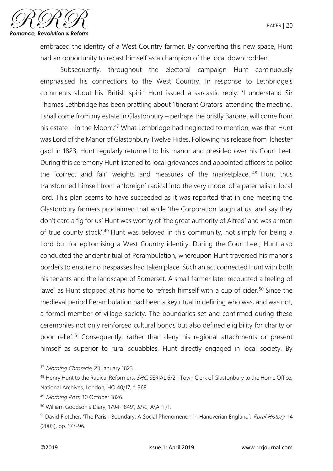

embraced the identity of a West Country farmer. By converting this new space, Hunt had an opportunity to recast himself as a champion of the local downtrodden.

Subsequently, throughout the electoral campaign Hunt continuously emphasised his connections to the West Country. In response to Lethbridge's comments about his 'British spirit' Hunt issued a sarcastic reply: 'I understand Sir Thomas Lethbridge has been prattling about 'Itinerant Orators' attending the meeting. I shall come from my estate in Glastonbury – perhaps the bristly Baronet will come from his estate – in the Moon'.<sup>47</sup> What Lethbridge had neglected to mention, was that Hunt was Lord of the Manor of Glastonbury Twelve Hides. Following his release from Ilchester gaol in 1823, Hunt regularly returned to his manor and presided over his Court Leet. During this ceremony Hunt listened to local grievances and appointed officers to police the 'correct and fair' weights and measures of the marketplace. <sup>48</sup> Hunt thus transformed himself from a 'foreign' radical into the very model of a paternalistic local lord. This plan seems to have succeeded as it was reported that in one meeting the Glastonbury farmers proclaimed that while 'the Corporation laugh at us, and say they don't care a fig for us' Hunt was worthy of 'the great authority of Alfred' and was a 'man of true county stock'.<sup>49</sup> Hunt was beloved in this community, not simply for being a Lord but for epitomising a West Country identity. During the Court Leet, Hunt also conducted the ancient ritual of Perambulation, whereupon Hunt traversed his manor's borders to ensure no trespasses had taken place. Such an act connected Hunt with both his tenants and the landscape of Somerset. A small farmer later recounted a feeling of 'awe' as Hunt stopped at his home to refresh himself with a cup of cider.<sup>50</sup> Since the medieval period Perambulation had been a key ritual in defining who was, and was not, a formal member of village society. The boundaries set and confirmed during these ceremonies not only reinforced cultural bonds but also defined eligibility for charity or poor relief. <sup>51</sup> Consequently, rather than deny his regional attachments or present himself as superior to rural squabbles, Hunt directly engaged in local society. By

<sup>47</sup> Morning Chronicle, 23 January 1823.

<sup>48</sup> Henry Hunt to the Radical Reformers, SHC, SERIAL 6/21; Town Clerk of Glastonbury to the Home Office, National Archives, London, HO 40/17, f. 369.

<sup>49</sup> Morning Post, 30 October 1826.

<sup>50</sup> William Goodson's Diary, 1794-1849', SHC, A\ATT/1.

<sup>51</sup> David Fletcher, 'The Parish Boundary: A Social Phenomenon in Hanoverian England', Rural History, 14 (2003), pp. 177-96.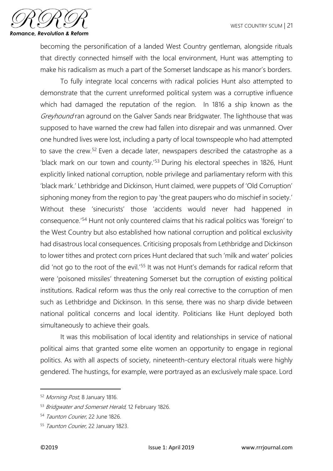

becoming the personification of a landed West Country gentleman, alongside rituals that directly connected himself with the local environment, Hunt was attempting to make his radicalism as much a part of the Somerset landscape as his manor's borders.

To fully integrate local concerns with radical policies Hunt also attempted to demonstrate that the current unreformed political system was a corruptive influence which had damaged the reputation of the region. In 1816 a ship known as the Greyhound ran aground on the Galver Sands near Bridgwater. The lighthouse that was supposed to have warned the crew had fallen into disrepair and was unmanned. Over one hundred lives were lost, including a party of local townspeople who had attempted to save the crew.<sup>52</sup> Even a decade later, newspapers described the catastrophe as a 'black mark on our town and county.'<sup>53</sup> During his electoral speeches in 1826, Hunt explicitly linked national corruption, noble privilege and parliamentary reform with this 'black mark.' Lethbridge and Dickinson, Hunt claimed, were puppets of 'Old Corruption' siphoning money from the region to pay 'the great paupers who do mischief in society.' Without these 'sinecurists' those 'accidents would never had happened in consequence.'<sup>54</sup> Hunt not only countered claims that his radical politics was 'foreign' to the West Country but also established how national corruption and political exclusivity had disastrous local consequences. Criticising proposals from Lethbridge and Dickinson to lower tithes and protect corn prices Hunt declared that such 'milk and water' policies did 'not go to the root of the evil.'<sup>55</sup> It was not Hunt's demands for radical reform that were 'poisoned missiles' threatening Somerset but the corruption of existing political institutions. Radical reform was thus the only real corrective to the corruption of men such as Lethbridge and Dickinson. In this sense, there was no sharp divide between national political concerns and local identity. Politicians like Hunt deployed both simultaneously to achieve their goals.

It was this mobilisation of local identity and relationships in service of national political aims that granted some elite women an opportunity to engage in regional politics. As with all aspects of society, nineteenth-century electoral rituals were highly gendered. The hustings, for example, were portrayed as an exclusively male space. Lord

<sup>52</sup> Morning Post, 8 January 1816.

<sup>53</sup> Bridgwater and Somerset Herald, 12 February 1826.

<sup>54</sup> Taunton Courier, 22 June 1826.

<sup>55</sup> Taunton Courier, 22 January 1823.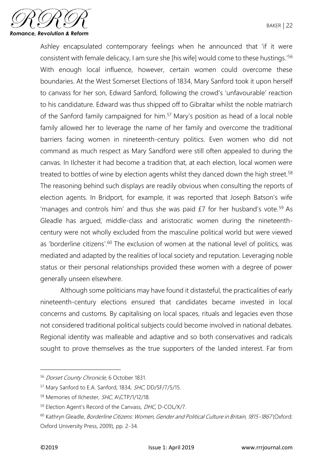

Ashley encapsulated contemporary feelings when he announced that 'if it were consistent with female delicacy, I am sure she [his wife] would come to these hustings.'<sup>56</sup> With enough local influence, however, certain women could overcome these boundaries. At the West Somerset Elections of 1834, Mary Sanford took it upon herself to canvass for her son, Edward Sanford, following the crowd's 'unfavourable' reaction to his candidature. Edward was thus shipped off to Gibraltar whilst the noble matriarch of the Sanford family campaigned for him.<sup>57</sup> Mary's position as head of a local noble family allowed her to leverage the name of her family and overcome the traditional barriers facing women in nineteenth-century politics. Even women who did not command as much respect as Mary Sandford were still often appealed to during the canvas. In Ilchester it had become a tradition that, at each election, local women were treated to bottles of wine by election agents whilst they danced down the high street.<sup>58</sup> The reasoning behind such displays are readily obvious when consulting the reports of election agents. In Bridport, for example, it was reported that Joseph Batson's wife 'manages and controls him' and thus she was paid  $E7$  for her husband's vote.<sup>59</sup> As Gleadle has argued, middle-class and aristocratic women during the nineteenthcentury were not wholly excluded from the masculine political world but were viewed as 'borderline citizens'.<sup>60</sup> The exclusion of women at the national level of politics, was mediated and adapted by the realities of local society and reputation. Leveraging noble status or their personal relationships provided these women with a degree of power generally unseen elsewhere.

Although some politicians may have found it distasteful, the practicalities of early nineteenth-century elections ensured that candidates became invested in local concerns and customs. By capitalising on local spaces, rituals and legacies even those not considered traditional political subjects could become involved in national debates. Regional identity was malleable and adaptive and so both conservatives and radicals sought to prove themselves as the true supporters of the landed interest. Far from

<sup>56</sup> Dorset County Chronicle, 6 October 1831.

<sup>&</sup>lt;sup>57</sup> Mary Sanford to E.A. Sanford, 1834, SHC, DD/SF/7/5/15.

<sup>58</sup> Memories of Ilchester, SHC, A\CTP/1/12/18.

<sup>59</sup> Election Agent's Record of the Canvass, DHC, D-COL/X/7.

<sup>&</sup>lt;sup>60</sup> Kathryn Gleadle, Borderline Citizens: Women, Gender and Political Culture in Britain, 1815-1867 (Oxford: Oxford University Press, 2009), pp. 2-34.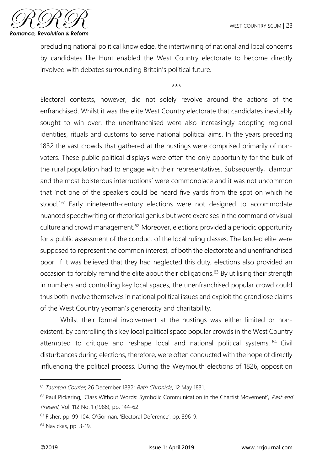

precluding national political knowledge, the intertwining of national and local concerns by candidates like Hunt enabled the West Country electorate to become directly involved with debates surrounding Britain's political future.

\*\*\*

Electoral contests, however, did not solely revolve around the actions of the enfranchised. Whilst it was the elite West Country electorate that candidates inevitably sought to win over, the unenfranchised were also increasingly adopting regional identities, rituals and customs to serve national political aims. In the years preceding 1832 the vast crowds that gathered at the hustings were comprised primarily of nonvoters. These public political displays were often the only opportunity for the bulk of the rural population had to engage with their representatives. Subsequently, 'clamour and the most boisterous interruptions' were commonplace and it was not uncommon that 'not one of the speakers could be heard five yards from the spot on which he stood.' <sup>61</sup> Early nineteenth-century elections were not designed to accommodate nuanced speechwriting or rhetorical genius but were exercises in the command of visual culture and crowd management.<sup>62</sup> Moreover, elections provided a periodic opportunity for a public assessment of the conduct of the local ruling classes. The landed elite were supposed to represent the common interest, of both the electorate and unenfranchised poor. If it was believed that they had neglected this duty, elections also provided an occasion to forcibly remind the elite about their obligations.<sup>63</sup> By utilising their strength in numbers and controlling key local spaces, the unenfranchised popular crowd could thus both involve themselves in national political issues and exploit the grandiose claims of the West Country yeoman's generosity and charitability.

Whilst their formal involvement at the hustings was either limited or nonexistent, by controlling this key local political space popular crowds in the West Country attempted to critique and reshape local and national political systems. <sup>64</sup> Civil disturbances during elections, therefore, were often conducted with the hope of directly influencing the political process. During the Weymouth elections of 1826, opposition

<sup>&</sup>lt;sup>61</sup> Taunton Courier, 26 December 1832; Bath Chronicle, 12 May 1831.

 $62$  Paul Pickering, 'Class Without Words: Symbolic Communication in the Chartist Movement', Past and Present, Vol. 112 No. 1 (1986), pp. 144-62

<sup>63</sup> Fisher, pp. 99-104; O'Gorman, 'Electoral Deference', pp. 396-9.

<sup>64</sup> Navickas, pp. 3-19.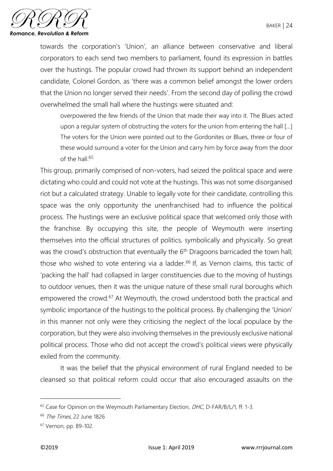

towards the corporation's 'Union', an alliance between conservative and liberal corporators to each send two members to parliament, found its expression in battles over the hustings. The popular crowd had thrown its support behind an independent candidate, Colonel Gordon, as 'there was a common belief amongst the lower orders that the Union no longer served their needs'. From the second day of polling the crowd overwhelmed the small hall where the hustings were situated and:

overpowered the few friends of the Union that made their way into it. The Blues acted upon a regular system of obstructing the voters for the union from entering the hall [...] The voters for the Union were pointed out to the Gordonites or Blues, three or four of these would surround a voter for the Union and carry him by force away from the door of the hall  $65$ 

This group, primarily comprised of non-voters, had seized the political space and were dictating who could and could not vote at the hustings. This was not some disorganised riot but a calculated strategy. Unable to legally vote for their candidate, controlling this space was the only opportunity the unenfranchised had to influence the political process. The hustings were an exclusive political space that welcomed only those with the franchise. By occupying this site, the people of Weymouth were inserting themselves into the official structures of politics, symbolically and physically. So great was the crowd's obstruction that eventually the 6<sup>th</sup> Dragoons barricaded the town hall; those who wished to vote entering via a ladder.<sup>66</sup> If, as Vernon claims, this tactic of 'packing the hall' had collapsed in larger constituencies due to the moving of hustings to outdoor venues, then it was the unique nature of these small rural boroughs which empowered the crowd.<sup>67</sup> At Weymouth, the crowd understood both the practical and symbolic importance of the hustings to the political process. By challenging the 'Union' in this manner not only were they criticising the neglect of the local populace by the corporation, but they were also involving themselves in the previously exclusive national political process. Those who did not accept the crowd's political views were physically exiled from the community.

It was the belief that the physical environment of rural England needed to be cleansed so that political reform could occur that also encouraged assaults on the

 $65$  Case for Opinion on the Weymouth Parliamentary Election,  $DHC$ , D-FAR/B/L/1, ff. 1-3.

<sup>66</sup> The Times, 22 June 1826

<sup>67</sup> Vernon, pp. 89-102.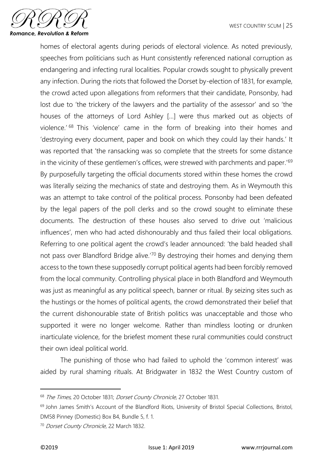

homes of electoral agents during periods of electoral violence. As noted previously, speeches from politicians such as Hunt consistently referenced national corruption as endangering and infecting rural localities. Popular crowds sought to physically prevent any infection. During the riots that followed the Dorset by-election of 1831, for example, the crowd acted upon allegations from reformers that their candidate, Ponsonby, had lost due to 'the trickery of the lawyers and the partiality of the assessor' and so 'the houses of the attorneys of Lord Ashley […] were thus marked out as objects of violence.' <sup>68</sup> This 'violence' came in the form of breaking into their homes and 'destroying every document, paper and book on which they could lay their hands.' It was reported that 'the ransacking was so complete that the streets for some distance in the vicinity of these gentlemen's offices, were strewed with parchments and paper.<sup>'69</sup> By purposefully targeting the official documents stored within these homes the crowd was literally seizing the mechanics of state and destroying them. As in Weymouth this was an attempt to take control of the political process. Ponsonby had been defeated by the legal papers of the poll clerks and so the crowd sought to eliminate these documents. The destruction of these houses also served to drive out 'malicious influences', men who had acted dishonourably and thus failed their local obligations. Referring to one political agent the crowd's leader announced: 'the bald headed shall not pass over Blandford Bridge alive.'<sup>70</sup> By destroying their homes and denying them access to the town these supposedly corrupt political agents had been forcibly removed from the local community. Controlling physical place in both Blandford and Weymouth was just as meaningful as any political speech, banner or ritual. By seizing sites such as the hustings or the homes of political agents, the crowd demonstrated their belief that the current dishonourable state of British politics was unacceptable and those who supported it were no longer welcome. Rather than mindless looting or drunken inarticulate violence, for the briefest moment these rural communities could construct their own ideal political world.

The punishing of those who had failed to uphold the 'common interest' was aided by rural shaming rituals. At Bridgwater in 1832 the West Country custom of

<sup>&</sup>lt;sup>68</sup> The Times, 20 October 1831; Dorset County Chronicle, 27 October 1831.

<sup>&</sup>lt;sup>69</sup> John James Smith's Account of the Blandford Riots, University of Bristol Special Collections, Bristol, DM58 Pinney (Domestic) Box B4, Bundle 5, f. 1.

<sup>70</sup> Dorset County Chronicle, 22 March 1832.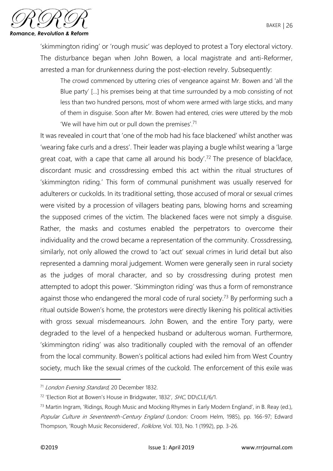

'skimmington riding' or 'rough music' was deployed to protest a Tory electoral victory. The disturbance began when John Bowen, a local magistrate and anti-Reformer, arrested a man for drunkenness during the post-election revelry. Subsequently:

The crowd commenced by uttering cries of vengeance against Mr. Bowen and 'all the Blue party' […] his premises being at that time surrounded by a mob consisting of not less than two hundred persons, most of whom were armed with large sticks, and many of them in disguise. Soon after Mr. Bowen had entered, cries were uttered by the mob 'We will have him out or pull down the premises'.<sup>71</sup>

It was revealed in court that 'one of the mob had his face blackened' whilst another was 'wearing fake curls and a dress'. Their leader was playing a bugle whilst wearing a 'large great coat, with a cape that came all around his body'.<sup>72</sup> The presence of blackface, discordant music and crossdressing embed this act within the ritual structures of 'skimmington riding.' This form of communal punishment was usually reserved for adulterers or cuckolds. In its traditional setting, those accused of moral or sexual crimes were visited by a procession of villagers beating pans, blowing horns and screaming the supposed crimes of the victim. The blackened faces were not simply a disguise. Rather, the masks and costumes enabled the perpetrators to overcome their individuality and the crowd became a representation of the community. Crossdressing, similarly, not only allowed the crowd to 'act out' sexual crimes in lurid detail but also represented a damning moral judgement. Women were generally seen in rural society as the judges of moral character, and so by crossdressing during protest men attempted to adopt this power. 'Skimmington riding' was thus a form of remonstrance against those who endangered the moral code of rural society.<sup>73</sup> By performing such a ritual outside Bowen's home, the protestors were directly likening his political activities with gross sexual misdemeanours. John Bowen, and the entire Tory party, were degraded to the level of a henpecked husband or adulterous woman. Furthermore, 'skimmington riding' was also traditionally coupled with the removal of an offender from the local community. Bowen's political actions had exiled him from West Country society, much like the sexual crimes of the cuckold. The enforcement of this exile was

<sup>&</sup>lt;sup>71</sup> London Evening Standard, 20 December 1832.

<sup>&</sup>lt;sup>72</sup> 'Election Riot at Bowen's House in Bridgwater, 1832', *SHC*, DD\CLE/6/1.

<sup>73</sup> Martin Ingram, 'Ridings, Rough Music and Mocking Rhymes in Early Modern England', in B. Reay (ed.), Popular Culture in Seventeenth-Century England (London: Croom Helm, 1985), pp. 166-97; Edward Thompson, 'Rough Music Reconsidered', Folklore, Vol. 103, No. 1 (1992), pp. 3-26.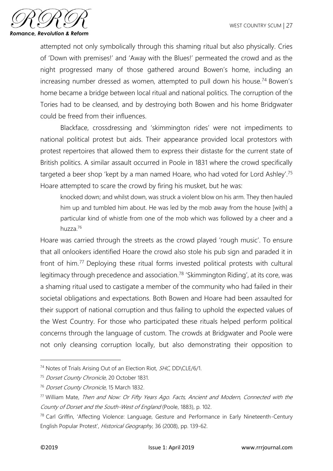

attempted not only symbolically through this shaming ritual but also physically. Cries of 'Down with premises!' and 'Away with the Blues!' permeated the crowd and as the night progressed many of those gathered around Bowen's home, including an increasing number dressed as women, attempted to pull down his house.<sup>74</sup> Bowen's home became a bridge between local ritual and national politics. The corruption of the Tories had to be cleansed, and by destroying both Bowen and his home Bridgwater could be freed from their influences.

Blackface, crossdressing and 'skimmington rides' were not impediments to national political protest but aids. Their appearance provided local protestors with protest repertoires that allowed them to express their distaste for the current state of British politics. A similar assault occurred in Poole in 1831 where the crowd specifically targeted a beer shop 'kept by a man named Hoare, who had voted for Lord Ashley'.<sup>75</sup> Hoare attempted to scare the crowd by firing his musket, but he was:

knocked down; and whilst down, was struck a violent blow on his arm. They then hauled him up and tumbled him about. He was led by the mob away from the house [with] a particular kind of whistle from one of the mob which was followed by a cheer and a huzza.<sup>76</sup>

Hoare was carried through the streets as the crowd played 'rough music'. To ensure that all onlookers identified Hoare the crowd also stole his pub sign and paraded it in front of him.<sup>77</sup> Deploying these ritual forms invested political protests with cultural legitimacy through precedence and association.<sup>78</sup> 'Skimmington Riding', at its core, was a shaming ritual used to castigate a member of the community who had failed in their societal obligations and expectations. Both Bowen and Hoare had been assaulted for their support of national corruption and thus failing to uphold the expected values of the West Country. For those who participated these rituals helped perform political concerns through the language of custom. The crowds at Bridgwater and Poole were not only cleansing corruption locally, but also demonstrating their opposition to

<sup>74</sup> Notes of Trials Arising Out of an Election Riot, SHC, DD\CLE/6/1.

<sup>75</sup> Dorset County Chronicle, 20 October 1831.

<sup>&</sup>lt;sup>76</sup> Dorset County Chronicle, 15 March 1832.

<sup>&</sup>lt;sup>77</sup> William Mate, Then and Now: Or Fifty Years Ago. Facts, Ancient and Modern, Connected with the County of Dorset and the South-West of England (Poole, 1883), p. 102.

<sup>&</sup>lt;sup>78</sup> Carl Griffin, 'Affecting Violence: Language, Gesture and Performance in Early Nineteenth-Century English Popular Protest', Historical Geography, 36 (2008), pp. 139-62.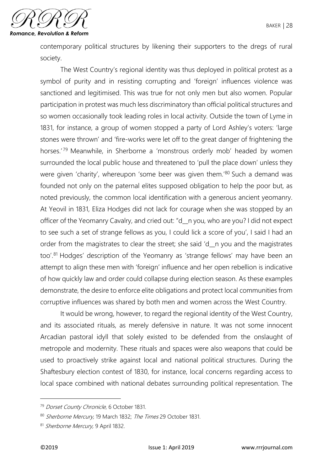

contemporary political structures by likening their supporters to the dregs of rural society.

The West Country's regional identity was thus deployed in political protest as a symbol of purity and in resisting corrupting and 'foreign' influences violence was sanctioned and legitimised. This was true for not only men but also women. Popular participation in protest was much less discriminatory than official political structures and so women occasionally took leading roles in local activity. Outside the town of Lyme in 1831, for instance, a group of women stopped a party of Lord Ashley's voters: 'large stones were thrown' and 'fire-works were let off to the great danger of frightening the horses.<sup>'79</sup> Meanwhile, in Sherborne a 'monstrous orderly mob' headed by women surrounded the local public house and threatened to 'pull the place down' unless they were given 'charity', whereupon 'some beer was given them.<sup>'80</sup> Such a demand was founded not only on the paternal elites supposed obligation to help the poor but, as noted previously, the common local identification with a generous ancient yeomanry. At Yeovil in 1831, Eliza Hodges did not lack for courage when she was stopped by an officer of the Yeomanry Cavalry, and cried out: "d\_\_n you, who are you? I did not expect to see such a set of strange fellows as you, I could lick a score of you', I said I had an order from the magistrates to clear the street; she said 'd n you and the magistrates too'.<sup>81</sup> Hodges' description of the Yeomanry as 'strange fellows' may have been an attempt to align these men with 'foreign' influence and her open rebellion is indicative of how quickly law and order could collapse during election season. As these examples demonstrate, the desire to enforce elite obligations and protect local communities from corruptive influences was shared by both men and women across the West Country.

It would be wrong, however, to regard the regional identity of the West Country, and its associated rituals, as merely defensive in nature. It was not some innocent Arcadian pastoral idyll that solely existed to be defended from the onslaught of metropole and modernity. These rituals and spaces were also weapons that could be used to proactively strike against local and national political structures. During the Shaftesbury election contest of 1830, for instance, local concerns regarding access to local space combined with national debates surrounding political representation. The

<sup>&</sup>lt;sup>79</sup> Dorset County Chronicle, 6 October 1831.

<sup>80</sup> Sherborne Mercury, 19 March 1832; The Times 29 October 1831.

<sup>81</sup> Sherborne Mercury, 9 April 1832.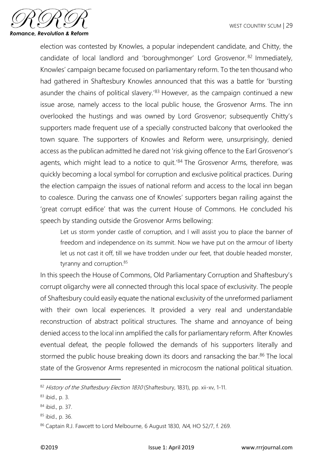

election was contested by Knowles, a popular independent candidate, and Chitty, the candidate of local landlord and 'boroughmonger' Lord Grosvenor. <sup>82</sup> Immediately, Knowles' campaign became focused on parliamentary reform. To the ten thousand who had gathered in Shaftesbury Knowles announced that this was a battle for 'bursting asunder the chains of political slavery.<sup>'83</sup> However, as the campaign continued a new issue arose, namely access to the local public house, the Grosvenor Arms. The inn overlooked the hustings and was owned by Lord Grosvenor; subsequently Chitty's supporters made frequent use of a specially constructed balcony that overlooked the town square. The supporters of Knowles and Reform were, unsurprisingly, denied access as the publican admitted he dared not 'risk giving offence to the Earl Grosvenor's agents, which might lead to a notice to quit.<sup>'84</sup> The Grosvenor Arms, therefore, was quickly becoming a local symbol for corruption and exclusive political practices. During the election campaign the issues of national reform and access to the local inn began to coalesce. During the canvass one of Knowles' supporters began railing against the 'great corrupt edifice' that was the current House of Commons. He concluded his speech by standing outside the Grosvenor Arms bellowing:

Let us storm yonder castle of corruption, and I will assist you to place the banner of freedom and independence on its summit. Now we have put on the armour of liberty let us not cast it off, till we have trodden under our feet, that double headed monster, tyranny and corruption.<sup>85</sup>

In this speech the House of Commons, Old Parliamentary Corruption and Shaftesbury's corrupt oligarchy were all connected through this local space of exclusivity. The people of Shaftesbury could easily equate the national exclusivity of the unreformed parliament with their own local experiences. It provided a very real and understandable reconstruction of abstract political structures. The shame and annoyance of being denied access to the local inn amplified the calls for parliamentary reform. After Knowles eventual defeat, the people followed the demands of his supporters literally and stormed the public house breaking down its doors and ransacking the bar.<sup>86</sup> The local state of the Grosvenor Arms represented in microcosm the national political situation.

<sup>82</sup> History of the Shaftesbury Election 1830 (Shaftesbury, 1831), pp. xii-xv, 1-11.

<sup>83</sup> ibid., p. 3.

<sup>84</sup> ibid., p. 37.

<sup>85</sup> ibid., p. 36.

<sup>86</sup> Captain R.J. Fawcett to Lord Melbourne, 6 August 1830, NA, HO 52/7, f. 269.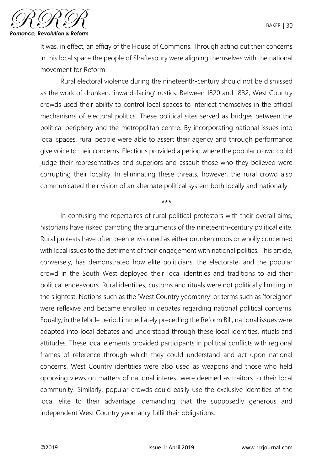

It was, in effect, an effigy of the House of Commons. Through acting out their concerns in this local space the people of Shaftesbury were aligning themselves with the national movement for Reform.

Rural electoral violence during the nineteenth-century should not be dismissed as the work of drunken, 'inward-facing' rustics. Between 1820 and 1832, West Country crowds used their ability to control local spaces to interject themselves in the official mechanisms of electoral politics. These political sites served as bridges between the political periphery and the metropolitan centre. By incorporating national issues into local spaces, rural people were able to assert their agency and through performance give voice to their concerns. Elections provided a period where the popular crowd could judge their representatives and superiors and assault those who they believed were corrupting their locality. In eliminating these threats, however, the rural crowd also communicated their vision of an alternate political system both locally and nationally.

\*\*\*

In confusing the repertoires of rural political protestors with their overall aims, historians have risked parroting the arguments of the nineteenth-century political elite. Rural protests have often been envisioned as either drunken mobs or wholly concerned with local issues to the detriment of their engagement with national politics. This article, conversely, has demonstrated how elite politicians, the electorate, and the popular crowd in the South West deployed their local identities and traditions to aid their political endeavours. Rural identities, customs and rituals were not politically limiting in the slightest. Notions such as the 'West Country yeomanry' or terms such as 'foreigner' were reflexive and became enrolled in debates regarding national political concerns. Equally, in the febrile period immediately preceding the Reform Bill, national issues were adapted into local debates and understood through these local identities, rituals and attitudes. These local elements provided participants in political conflicts with regional frames of reference through which they could understand and act upon national concerns. West Country identities were also used as weapons and those who held opposing views on matters of national interest were deemed as traitors to their local community. Similarly, popular crowds could easily use the exclusive identities of the local elite to their advantage, demanding that the supposedly generous and independent West Country yeomanry fulfil their obligations.